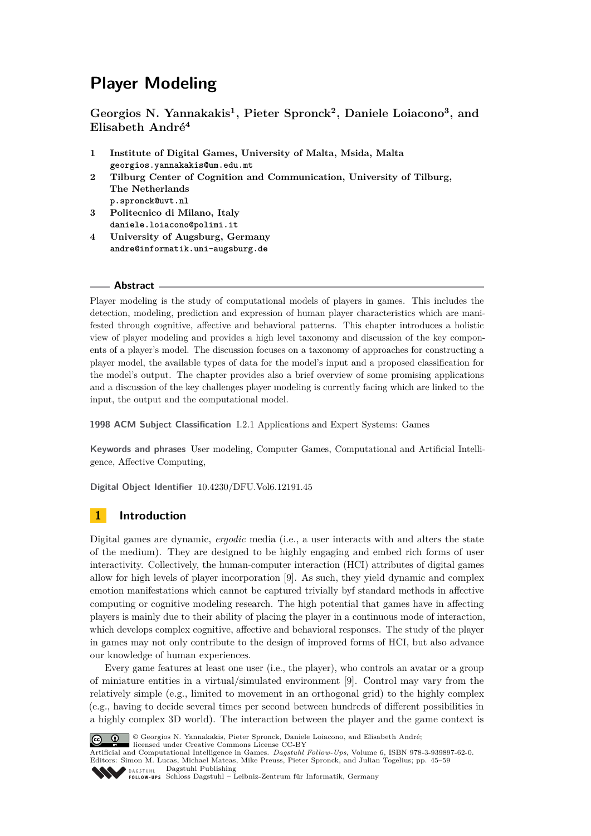# **Player Modeling**

**Georgios N. Yannakakis<sup>1</sup> , Pieter Spronck<sup>2</sup> , Daniele Loiacono<sup>3</sup> , and Elisabeth André<sup>4</sup>**

- **1 Institute of Digital Games, University of Malta, Msida, Malta georgios.yannakakis@um.edu.mt**
- **2 Tilburg Center of Cognition and Communication, University of Tilburg, The Netherlands p.spronck@uvt.nl**
- **3 Politecnico di Milano, Italy daniele.loiacono@polimi.it**
- **4 University of Augsburg, Germany andre@informatik.uni-augsburg.de**

#### **Abstract**

Player modeling is the study of computational models of players in games. This includes the detection, modeling, prediction and expression of human player characteristics which are manifested through cognitive, affective and behavioral patterns. This chapter introduces a holistic view of player modeling and provides a high level taxonomy and discussion of the key components of a player's model. The discussion focuses on a taxonomy of approaches for constructing a player model, the available types of data for the model's input and a proposed classification for the model's output. The chapter provides also a brief overview of some promising applications and a discussion of the key challenges player modeling is currently facing which are linked to the input, the output and the computational model.

**1998 ACM Subject Classification** I.2.1 Applications and Expert Systems: Games

**Keywords and phrases** User modeling, Computer Games, Computational and Artificial Intelligence, Affective Computing,

**Digital Object Identifier** [10.4230/DFU.Vol6.12191.45](http://dx.doi.org/10.4230/DFU.Vol6.12191.45)

# **1 Introduction**

Digital games are dynamic, *ergodic* media (i.e., a user interacts with and alters the state of the medium). They are designed to be highly engaging and embed rich forms of user interactivity. Collectively, the human-computer interaction (HCI) attributes of digital games allow for high levels of player incorporation [\[9\]](#page-10-0). As such, they yield dynamic and complex emotion manifestations which cannot be captured trivially byf standard methods in affective computing or cognitive modeling research. The high potential that games have in affecting players is mainly due to their ability of placing the player in a continuous mode of interaction, which develops complex cognitive, affective and behavioral responses. The study of the player in games may not only contribute to the design of improved forms of HCI, but also advance our knowledge of human experiences.

Every game features at least one user (i.e., the player), who controls an avatar or a group of miniature entities in a virtual/simulated environment [\[9\]](#page-10-0). Control may vary from the relatively simple (e.g., limited to movement in an orthogonal grid) to the highly complex (e.g., having to decide several times per second between hundreds of different possibilities in a highly complex 3D world). The interaction between the player and the game context is



© Georgios N. Yannakakis, Pieter Spronck, Daniele Loiacono, and Elisabeth André;

licensed under Creative Commons License CC-BY Artificial and Computational Intelligence in Games. *Dagstuhl Fol low-Ups*, Volume 6, [ISBN 978-3-939897-62-0.](http://www.dagstuhl.de/dagpub/978-3-939897-62-0) Editors: Simon M. Lucas, Michael Mateas, Mike Preuss, Pieter Spronck, and Julian Togelius; pp. 45[–59](#page-14-0) Dagstuhl Publishing  $\bullet$  DAGSTILLE

Schloss Dagstuhl – Leibniz-Zentrum für Informatik, Germany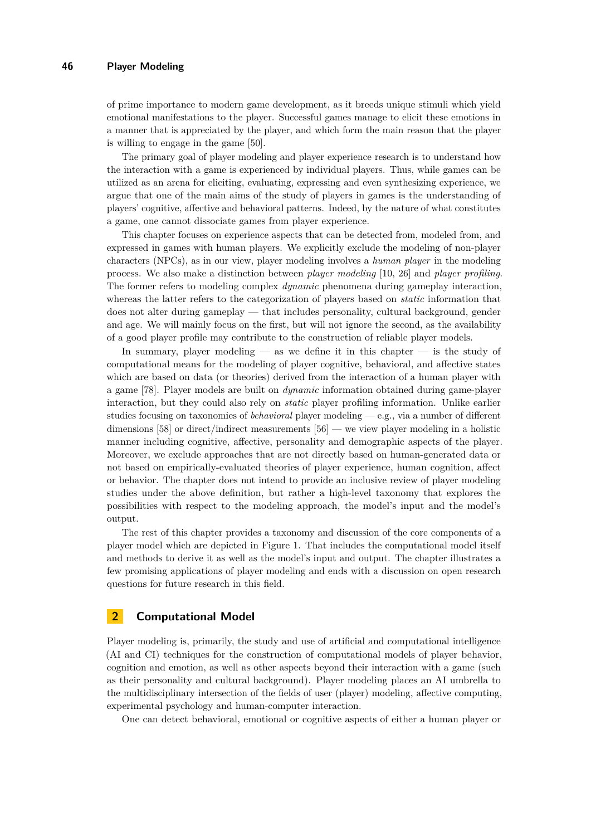of prime importance to modern game development, as it breeds unique stimuli which yield emotional manifestations to the player. Successful games manage to elicit these emotions in a manner that is appreciated by the player, and which form the main reason that the player is willing to engage in the game [\[50\]](#page-13-0).

The primary goal of player modeling and player experience research is to understand how the interaction with a game is experienced by individual players. Thus, while games can be utilized as an arena for eliciting, evaluating, expressing and even synthesizing experience, we argue that one of the main aims of the study of players in games is the understanding of players' cognitive, affective and behavioral patterns. Indeed, by the nature of what constitutes a game, one cannot dissociate games from player experience.

This chapter focuses on experience aspects that can be detected from, modeled from, and expressed in games with human players. We explicitly exclude the modeling of non-player characters (NPCs), as in our view, player modeling involves a *human player* in the modeling process. We also make a distinction between *player modeling* [\[10,](#page-10-1) [26\]](#page-11-0) and *player profiling*. The former refers to modeling complex *dynamic* phenomena during gameplay interaction, whereas the latter refers to the categorization of players based on *static* information that does not alter during gameplay — that includes personality, cultural background, gender and age. We will mainly focus on the first, but will not ignore the second, as the availability of a good player profile may contribute to the construction of reliable player models.

In summary, player modeling — as we define it in this chapter — is the study of computational means for the modeling of player cognitive, behavioral, and affective states which are based on data (or theories) derived from the interaction of a human player with a game [\[78\]](#page-14-1). Player models are built on *dynamic* information obtained during game-player interaction, but they could also rely on *static* player profiling information. Unlike earlier studies focusing on taxonomies of *behavioral* player modeling — e.g., via a number of different dimensions [\[58\]](#page-13-1) or direct/indirect measurements  $[56]$  — we view player modeling in a holistic manner including cognitive, affective, personality and demographic aspects of the player. Moreover, we exclude approaches that are not directly based on human-generated data or not based on empirically-evaluated theories of player experience, human cognition, affect or behavior. The chapter does not intend to provide an inclusive review of player modeling studies under the above definition, but rather a high-level taxonomy that explores the possibilities with respect to the modeling approach, the model's input and the model's output.

The rest of this chapter provides a taxonomy and discussion of the core components of a player model which are depicted in Figure [1.](#page-2-0) That includes the computational model itself and methods to derive it as well as the model's input and output. The chapter illustrates a few promising applications of player modeling and ends with a discussion on open research questions for future research in this field.

# **2 Computational Model**

Player modeling is, primarily, the study and use of artificial and computational intelligence (AI and CI) techniques for the construction of computational models of player behavior, cognition and emotion, as well as other aspects beyond their interaction with a game (such as their personality and cultural background). Player modeling places an AI umbrella to the multidisciplinary intersection of the fields of user (player) modeling, affective computing, experimental psychology and human-computer interaction.

One can detect behavioral, emotional or cognitive aspects of either a human player or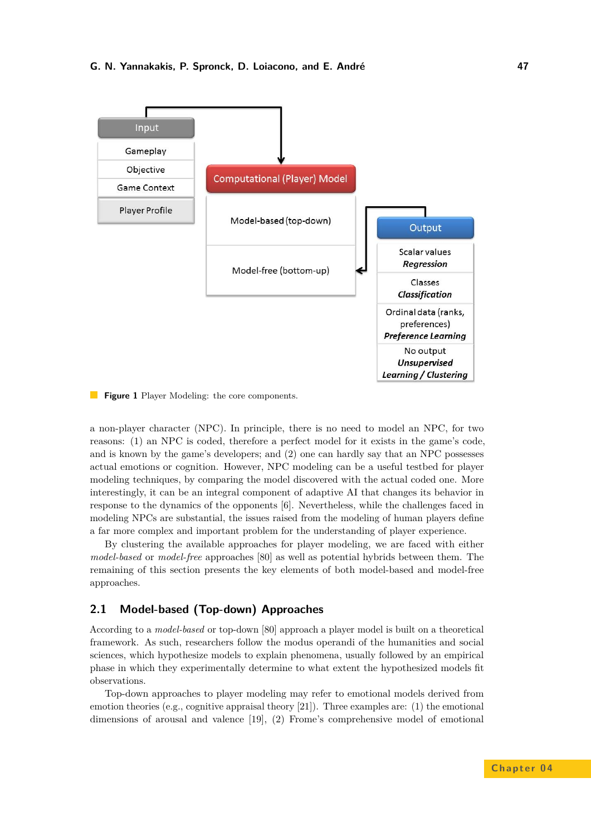<span id="page-2-0"></span>

**Figure 1** Player Modeling: the core components.

a non-player character (NPC). In principle, there is no need to model an NPC, for two reasons: (1) an NPC is coded, therefore a perfect model for it exists in the game's code, and is known by the game's developers; and (2) one can hardly say that an NPC possesses actual emotions or cognition. However, NPC modeling can be a useful testbed for player modeling techniques, by comparing the model discovered with the actual coded one. More interestingly, it can be an integral component of adaptive AI that changes its behavior in response to the dynamics of the opponents [\[6\]](#page-10-2). Nevertheless, while the challenges faced in modeling NPCs are substantial, the issues raised from the modeling of human players define a far more complex and important problem for the understanding of player experience.

By clustering the available approaches for player modeling, we are faced with either *model-based* or *model-free* approaches [\[80\]](#page-14-2) as well as potential hybrids between them. The remaining of this section presents the key elements of both model-based and model-free approaches.

# <span id="page-2-1"></span>**2.1 Model-based (Top-down) Approaches**

According to a *model-based* or top-down [\[80\]](#page-14-2) approach a player model is built on a theoretical framework. As such, researchers follow the modus operandi of the humanities and social sciences, which hypothesize models to explain phenomena, usually followed by an empirical phase in which they experimentally determine to what extent the hypothesized models fit observations.

Top-down approaches to player modeling may refer to emotional models derived from emotion theories (e.g., cognitive appraisal theory  $[21]$ ). Three examples are: (1) the emotional dimensions of arousal and valence [\[19\]](#page-11-2), (2) Frome's comprehensive model of emotional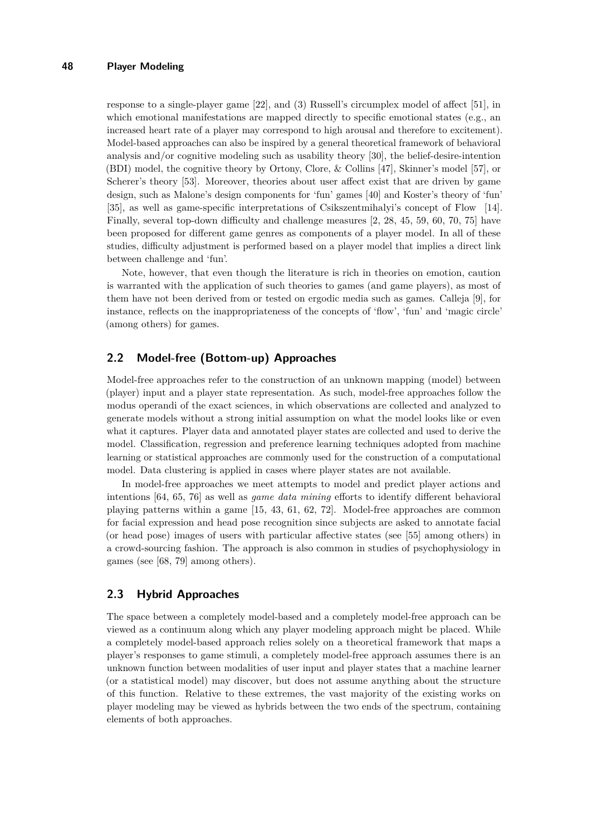### **48 Player Modeling**

response to a single-player game [\[22\]](#page-11-3), and (3) Russell's circumplex model of affect [\[51\]](#page-13-3), in which emotional manifestations are mapped directly to specific emotional states (e.g., an increased heart rate of a player may correspond to high arousal and therefore to excitement). Model-based approaches can also be inspired by a general theoretical framework of behavioral analysis and/or cognitive modeling such as usability theory [\[30\]](#page-11-4), the belief-desire-intention (BDI) model, the cognitive theory by Ortony, Clore, & Collins [\[47\]](#page-12-0), Skinner's model [\[57\]](#page-13-4), or Scherer's theory [\[53\]](#page-13-5). Moreover, theories about user affect exist that are driven by game design, such as Malone's design components for 'fun' games [\[40\]](#page-12-1) and Koster's theory of 'fun' [\[35\]](#page-12-2), as well as game-specific interpretations of Csikszentmihalyi's concept of Flow [\[14\]](#page-11-5). Finally, several top-down difficulty and challenge measures [\[2,](#page-10-3) [28,](#page-11-6) [45,](#page-12-3) [59,](#page-13-6) [60,](#page-13-7) [70,](#page-14-3) [75\]](#page-14-4) have been proposed for different game genres as components of a player model. In all of these studies, difficulty adjustment is performed based on a player model that implies a direct link between challenge and 'fun'.

Note, however, that even though the literature is rich in theories on emotion, caution is warranted with the application of such theories to games (and game players), as most of them have not been derived from or tested on ergodic media such as games. Calleja [\[9\]](#page-10-0), for instance, reflects on the inappropriateness of the concepts of 'flow', 'fun' and 'magic circle' (among others) for games.

### **2.2 Model-free (Bottom-up) Approaches**

Model-free approaches refer to the construction of an unknown mapping (model) between (player) input and a player state representation. As such, model-free approaches follow the modus operandi of the exact sciences, in which observations are collected and analyzed to generate models without a strong initial assumption on what the model looks like or even what it captures. Player data and annotated player states are collected and used to derive the model. Classification, regression and preference learning techniques adopted from machine learning or statistical approaches are commonly used for the construction of a computational model. Data clustering is applied in cases where player states are not available.

In model-free approaches we meet attempts to model and predict player actions and intentions [\[64,](#page-13-8) [65,](#page-13-9) [76\]](#page-14-5) as well as *game data mining* efforts to identify different behavioral playing patterns within a game [\[15,](#page-11-7) [43,](#page-12-4) [61,](#page-13-10) [62,](#page-13-11) [72\]](#page-14-6). Model-free approaches are common for facial expression and head pose recognition since subjects are asked to annotate facial (or head pose) images of users with particular affective states (see [\[55\]](#page-13-12) among others) in a crowd-sourcing fashion. The approach is also common in studies of psychophysiology in games (see [\[68,](#page-14-7) [79\]](#page-14-8) among others).

# **2.3 Hybrid Approaches**

The space between a completely model-based and a completely model-free approach can be viewed as a continuum along which any player modeling approach might be placed. While a completely model-based approach relies solely on a theoretical framework that maps a player's responses to game stimuli, a completely model-free approach assumes there is an unknown function between modalities of user input and player states that a machine learner (or a statistical model) may discover, but does not assume anything about the structure of this function. Relative to these extremes, the vast majority of the existing works on player modeling may be viewed as hybrids between the two ends of the spectrum, containing elements of both approaches.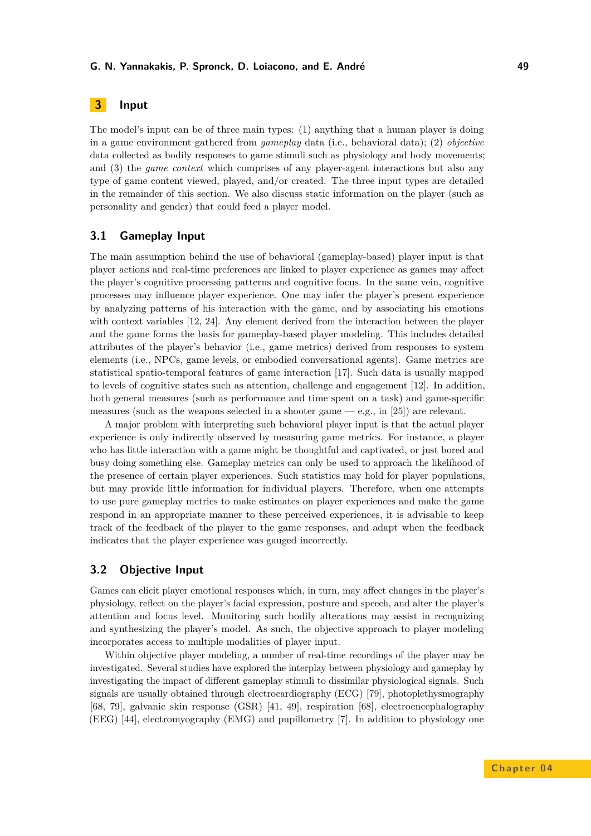# **3 Input**

The model's input can be of three main types: (1) anything that a human player is doing in a game environment gathered from *gameplay* data (i.e., behavioral data); (2) *objective* data collected as bodily responses to game stimuli such as physiology and body movements; and (3) the *game context* which comprises of any player-agent interactions but also any type of game content viewed, played, and/or created. The three input types are detailed in the remainder of this section. We also discuss static information on the player (such as personality and gender) that could feed a player model.

### **3.1 Gameplay Input**

The main assumption behind the use of behavioral (gameplay-based) player input is that player actions and real-time preferences are linked to player experience as games may affect the player's cognitive processing patterns and cognitive focus. In the same vein, cognitive processes may influence player experience. One may infer the player's present experience by analyzing patterns of his interaction with the game, and by associating his emotions with context variables [\[12,](#page-11-8) [24\]](#page-11-9). Any element derived from the interaction between the player and the game forms the basis for gameplay-based player modeling. This includes detailed attributes of the player's behavior (i.e., game metrics) derived from responses to system elements (i.e., NPCs, game levels, or embodied conversational agents). Game metrics are statistical spatio-temporal features of game interaction [\[17\]](#page-11-10). Such data is usually mapped to levels of cognitive states such as attention, challenge and engagement [\[12\]](#page-11-8). In addition, both general measures (such as performance and time spent on a task) and game-specific measures (such as the weapons selected in a shooter game  $-$  e.g., in [\[25\]](#page-11-11)) are relevant.

A major problem with interpreting such behavioral player input is that the actual player experience is only indirectly observed by measuring game metrics. For instance, a player who has little interaction with a game might be thoughtful and captivated, or just bored and busy doing something else. Gameplay metrics can only be used to approach the likelihood of the presence of certain player experiences. Such statistics may hold for player populations, but may provide little information for individual players. Therefore, when one attempts to use pure gameplay metrics to make estimates on player experiences and make the game respond in an appropriate manner to these perceived experiences, it is advisable to keep track of the feedback of the player to the game responses, and adapt when the feedback indicates that the player experience was gauged incorrectly.

# **3.2 Objective Input**

Games can elicit player emotional responses which, in turn, may affect changes in the player's physiology, reflect on the player's facial expression, posture and speech, and alter the player's attention and focus level. Monitoring such bodily alterations may assist in recognizing and synthesizing the player's model. As such, the objective approach to player modeling incorporates access to multiple modalities of player input.

Within objective player modeling, a number of real-time recordings of the player may be investigated. Several studies have explored the interplay between physiology and gameplay by investigating the impact of different gameplay stimuli to dissimilar physiological signals. Such signals are usually obtained through electrocardiography (ECG) [\[79\]](#page-14-8), photoplethysmography [\[68,](#page-14-7) [79\]](#page-14-8), galvanic skin response (GSR) [\[41,](#page-12-5) [49\]](#page-12-6), respiration [\[68\]](#page-14-7), electroencephalography (EEG) [\[44\]](#page-12-7), electromyography (EMG) and pupillometry [\[7\]](#page-10-4). In addition to physiology one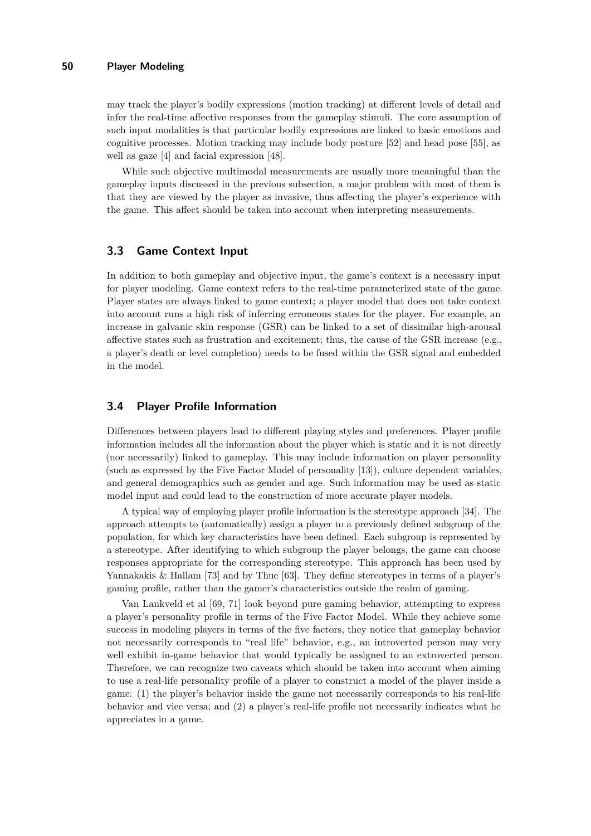may track the player's bodily expressions (motion tracking) at different levels of detail and infer the real-time affective responses from the gameplay stimuli. The core assumption of such input modalities is that particular bodily expressions are linked to basic emotions and cognitive processes. Motion tracking may include body posture [\[52\]](#page-13-13) and head pose [\[55\]](#page-13-12), as well as gaze [\[4\]](#page-10-5) and facial expression [\[48\]](#page-12-8).

While such objective multimodal measurements are usually more meaningful than the gameplay inputs discussed in the previous subsection, a major problem with most of them is that they are viewed by the player as invasive, thus affecting the player's experience with the game. This affect should be taken into account when interpreting measurements.

### **3.3 Game Context Input**

In addition to both gameplay and objective input, the game's context is a necessary input for player modeling. Game context refers to the real-time parameterized state of the game. Player states are always linked to game context; a player model that does not take context into account runs a high risk of inferring erroneous states for the player. For example, an increase in galvanic skin response (GSR) can be linked to a set of dissimilar high-arousal affective states such as frustration and excitement; thus, the cause of the GSR increase (e.g., a player's death or level completion) needs to be fused within the GSR signal and embedded in the model.

# **3.4 Player Profile Information**

Differences between players lead to different playing styles and preferences. Player profile information includes all the information about the player which is static and it is not directly (nor necessarily) linked to gameplay. This may include information on player personality (such as expressed by the Five Factor Model of personality [\[13\]](#page-11-12)), culture dependent variables, and general demographics such as gender and age. Such information may be used as static model input and could lead to the construction of more accurate player models.

A typical way of employing player profile information is the stereotype approach [\[34\]](#page-12-9). The approach attempts to (automatically) assign a player to a previously defined subgroup of the population, for which key characteristics have been defined. Each subgroup is represented by a stereotype. After identifying to which subgroup the player belongs, the game can choose responses appropriate for the corresponding stereotype. This approach has been used by Yannakakis & Hallam [\[73\]](#page-14-9) and by Thue [\[63\]](#page-13-14). They define stereotypes in terms of a player's gaming profile, rather than the gamer's characteristics outside the realm of gaming.

Van Lankveld et al [\[69,](#page-14-10) [71\]](#page-14-11) look beyond pure gaming behavior, attempting to express a player's personality profile in terms of the Five Factor Model. While they achieve some success in modeling players in terms of the five factors, they notice that gameplay behavior not necessarily corresponds to "real life" behavior, e.g., an introverted person may very well exhibit in-game behavior that would typically be assigned to an extroverted person. Therefore, we can recognize two caveats which should be taken into account when aiming to use a real-life personality profile of a player to construct a model of the player inside a game: (1) the player's behavior inside the game not necessarily corresponds to his real-life behavior and vice versa; and (2) a player's real-life profile not necessarily indicates what he appreciates in a game.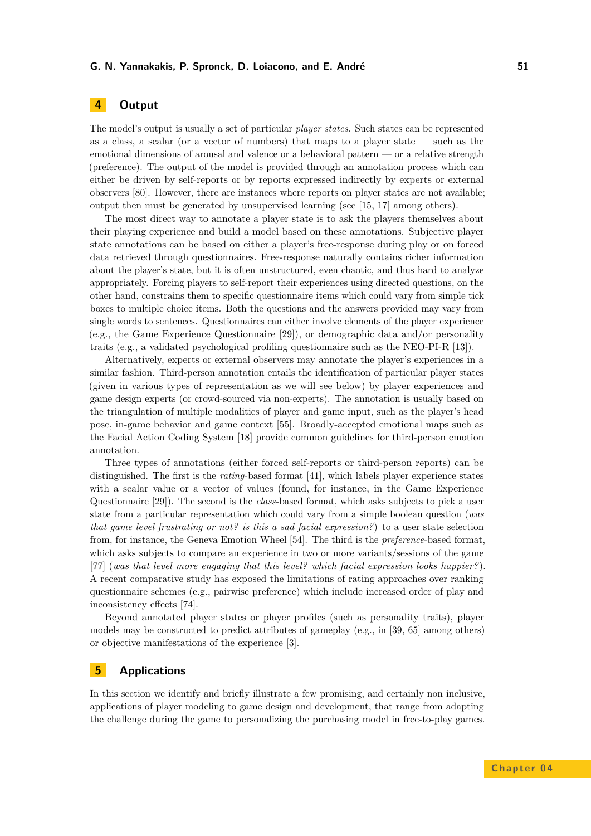# **4 Output**

The model's output is usually a set of particular *player states*. Such states can be represented as a class, a scalar (or a vector of numbers) that maps to a player state — such as the emotional dimensions of arousal and valence or a behavioral pattern — or a relative strength (preference). The output of the model is provided through an annotation process which can either be driven by self-reports or by reports expressed indirectly by experts or external observers [\[80\]](#page-14-2). However, there are instances where reports on player states are not available; output then must be generated by unsupervised learning (see [\[15,](#page-11-7) [17\]](#page-11-10) among others).

The most direct way to annotate a player state is to ask the players themselves about their playing experience and build a model based on these annotations. Subjective player state annotations can be based on either a player's free-response during play or on forced data retrieved through questionnaires. Free-response naturally contains richer information about the player's state, but it is often unstructured, even chaotic, and thus hard to analyze appropriately. Forcing players to self-report their experiences using directed questions, on the other hand, constrains them to specific questionnaire items which could vary from simple tick boxes to multiple choice items. Both the questions and the answers provided may vary from single words to sentences. Questionnaires can either involve elements of the player experience (e.g., the Game Experience Questionnaire [\[29\]](#page-11-13)), or demographic data and/or personality traits (e.g., a validated psychological profiling questionnaire such as the NEO-PI-R [\[13\]](#page-11-12)).

Alternatively, experts or external observers may annotate the player's experiences in a similar fashion. Third-person annotation entails the identification of particular player states (given in various types of representation as we will see below) by player experiences and game design experts (or crowd-sourced via non-experts). The annotation is usually based on the triangulation of multiple modalities of player and game input, such as the player's head pose, in-game behavior and game context [\[55\]](#page-13-12). Broadly-accepted emotional maps such as the Facial Action Coding System [\[18\]](#page-11-14) provide common guidelines for third-person emotion annotation.

Three types of annotations (either forced self-reports or third-person reports) can be distinguished. The first is the *rating*-based format [\[41\]](#page-12-5), which labels player experience states with a scalar value or a vector of values (found, for instance, in the Game Experience Questionnaire [\[29\]](#page-11-13)). The second is the *class*-based format, which asks subjects to pick a user state from a particular representation which could vary from a simple boolean question (*was that game level frustrating or not? is this a sad facial expression?*) to a user state selection from, for instance, the Geneva Emotion Wheel [\[54\]](#page-13-15). The third is the *preference*-based format, which asks subjects to compare an experience in two or more variants/sessions of the game [\[77\]](#page-14-12) (*was that level more engaging that this level? which facial expression looks happier?*). A recent comparative study has exposed the limitations of rating approaches over ranking questionnaire schemes (e.g., pairwise preference) which include increased order of play and inconsistency effects [\[74\]](#page-14-13).

Beyond annotated player states or player profiles (such as personality traits), player models may be constructed to predict attributes of gameplay (e.g., in [\[39,](#page-12-10) [65\]](#page-13-9) among others) or objective manifestations of the experience [\[3\]](#page-10-6).

# **5 Applications**

In this section we identify and briefly illustrate a few promising, and certainly non inclusive, applications of player modeling to game design and development, that range from adapting the challenge during the game to personalizing the purchasing model in free-to-play games.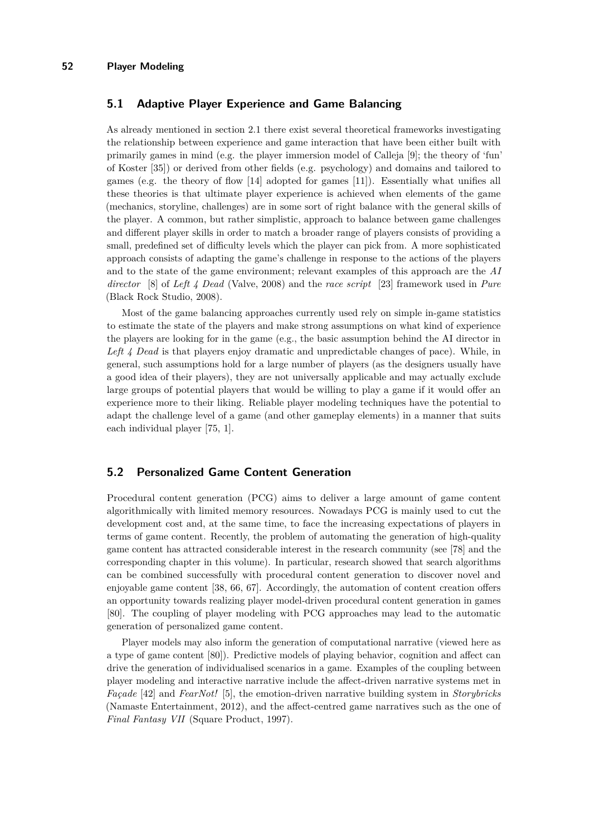### **5.1 Adaptive Player Experience and Game Balancing**

As already mentioned in section [2.1](#page-2-1) there exist several theoretical frameworks investigating the relationship between experience and game interaction that have been either built with primarily games in mind (e.g. the player immersion model of Calleja [\[9\]](#page-10-0); the theory of 'fun' of Koster [\[35\]](#page-12-2)) or derived from other fields (e.g. psychology) and domains and tailored to games (e.g. the theory of flow [\[14\]](#page-11-5) adopted for games [\[11\]](#page-10-7)). Essentially what unifies all these theories is that ultimate player experience is achieved when elements of the game (mechanics, storyline, challenges) are in some sort of right balance with the general skills of the player. A common, but rather simplistic, approach to balance between game challenges and different player skills in order to match a broader range of players consists of providing a small, predefined set of difficulty levels which the player can pick from. A more sophisticated approach consists of adapting the game's challenge in response to the actions of the players and to the state of the game environment; relevant examples of this approach are the *AI director* [\[8\]](#page-10-8) of *Left 4 Dead* (Valve, 2008) and the *race script* [\[23\]](#page-11-15) framework used in *Pure* (Black Rock Studio, 2008).

Most of the game balancing approaches currently used rely on simple in-game statistics to estimate the state of the players and make strong assumptions on what kind of experience the players are looking for in the game (e.g., the basic assumption behind the AI director in *Left 4 Dead* is that players enjoy dramatic and unpredictable changes of pace). While, in general, such assumptions hold for a large number of players (as the designers usually have a good idea of their players), they are not universally applicable and may actually exclude large groups of potential players that would be willing to play a game if it would offer an experience more to their liking. Reliable player modeling techniques have the potential to adapt the challenge level of a game (and other gameplay elements) in a manner that suits each individual player [\[75,](#page-14-4) [1\]](#page-10-9).

# **5.2 Personalized Game Content Generation**

Procedural content generation (PCG) aims to deliver a large amount of game content algorithmically with limited memory resources. Nowadays PCG is mainly used to cut the development cost and, at the same time, to face the increasing expectations of players in terms of game content. Recently, the problem of automating the generation of high-quality game content has attracted considerable interest in the research community (see [\[78\]](#page-14-1) and the corresponding chapter in this volume). In particular, research showed that search algorithms can be combined successfully with procedural content generation to discover novel and enjoyable game content [\[38,](#page-12-11) [66,](#page-13-16) [67\]](#page-14-14). Accordingly, the automation of content creation offers an opportunity towards realizing player model-driven procedural content generation in games [\[80\]](#page-14-2). The coupling of player modeling with PCG approaches may lead to the automatic generation of personalized game content.

Player models may also inform the generation of computational narrative (viewed here as a type of game content [\[80\]](#page-14-2)). Predictive models of playing behavior, cognition and affect can drive the generation of individualised scenarios in a game. Examples of the coupling between player modeling and interactive narrative include the affect-driven narrative systems met in *Façade* [\[42\]](#page-12-12) and *FearNot!* [\[5\]](#page-10-10), the emotion-driven narrative building system in *Storybricks* (Namaste Entertainment, 2012), and the affect-centred game narratives such as the one of *Final Fantasy VII* (Square Product, 1997).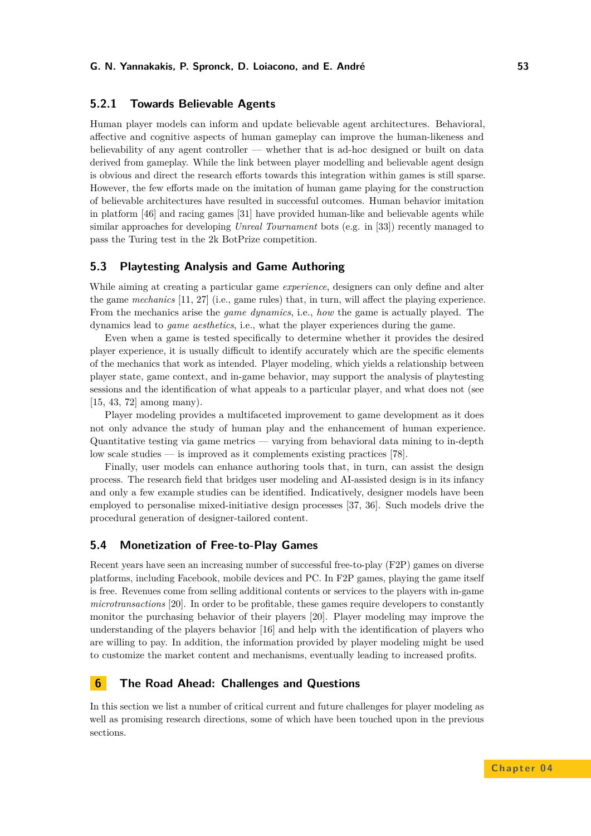### **5.2.1 Towards Believable Agents**

Human player models can inform and update believable agent architectures. Behavioral, affective and cognitive aspects of human gameplay can improve the human-likeness and believability of any agent controller — whether that is ad-hoc designed or built on data derived from gameplay. While the link between player modelling and believable agent design is obvious and direct the research efforts towards this integration within games is still sparse. However, the few efforts made on the imitation of human game playing for the construction of believable architectures have resulted in successful outcomes. Human behavior imitation in platform [\[46\]](#page-12-13) and racing games [\[31\]](#page-11-16) have provided human-like and believable agents while similar approaches for developing *Unreal Tournament* bots (e.g. in [\[33\]](#page-12-14)) recently managed to pass the Turing test in the 2k BotPrize competition.

### **5.3 Playtesting Analysis and Game Authoring**

While aiming at creating a particular game *experience*, designers can only define and alter the game *mechanics* [\[11,](#page-10-7) [27\]](#page-11-17) (i.e., game rules) that, in turn, will affect the playing experience. From the mechanics arise the *game dynamics*, i.e., *how* the game is actually played. The dynamics lead to *game aesthetics*, i.e., what the player experiences during the game.

Even when a game is tested specifically to determine whether it provides the desired player experience, it is usually difficult to identify accurately which are the specific elements of the mechanics that work as intended. Player modeling, which yields a relationship between player state, game context, and in-game behavior, may support the analysis of playtesting sessions and the identification of what appeals to a particular player, and what does not (see [\[15,](#page-11-7) [43,](#page-12-4) [72\]](#page-14-6) among many).

Player modeling provides a multifaceted improvement to game development as it does not only advance the study of human play and the enhancement of human experience. Quantitative testing via game metrics — varying from behavioral data mining to in-depth low scale studies — is improved as it complements existing practices [\[78\]](#page-14-1).

Finally, user models can enhance authoring tools that, in turn, can assist the design process. The research field that bridges user modeling and AI-assisted design is in its infancy and only a few example studies can be identified. Indicatively, designer models have been employed to personalise mixed-initiative design processes [\[37,](#page-12-15) [36\]](#page-12-16). Such models drive the procedural generation of designer-tailored content.

### **5.4 Monetization of Free-to-Play Games**

Recent years have seen an increasing number of successful free-to-play (F2P) games on diverse platforms, including Facebook, mobile devices and PC. In F2P games, playing the game itself is free. Revenues come from selling additional contents or services to the players with in-game *microtransactions* [\[20\]](#page-11-18). In order to be profitable, these games require developers to constantly monitor the purchasing behavior of their players [\[20\]](#page-11-18). Player modeling may improve the understanding of the players behavior [\[16\]](#page-11-19) and help with the identification of players who are willing to pay. In addition, the information provided by player modeling might be used to customize the market content and mechanisms, eventually leading to increased profits.

# **6 The Road Ahead: Challenges and Questions**

In this section we list a number of critical current and future challenges for player modeling as well as promising research directions, some of which have been touched upon in the previous sections.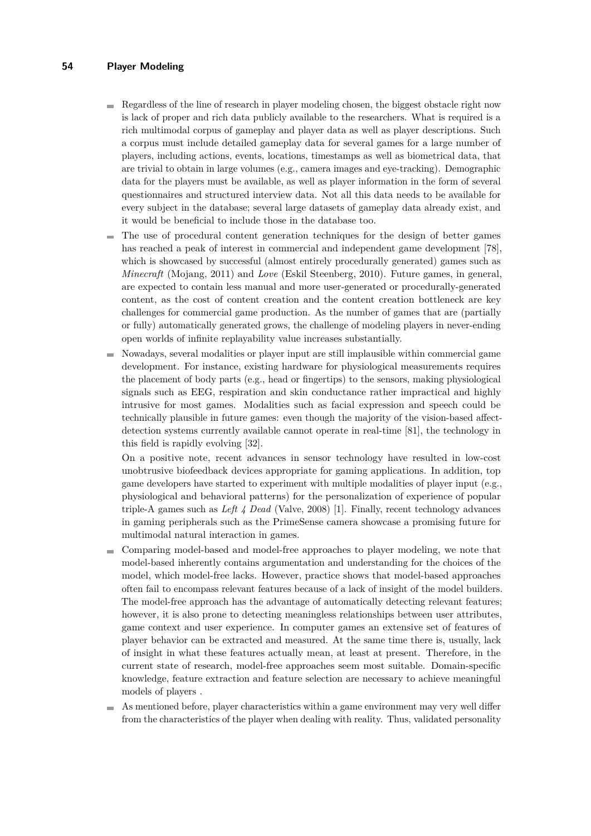### **54 Player Modeling**

- Regardless of the line of research in player modeling chosen, the biggest obstacle right now is lack of proper and rich data publicly available to the researchers. What is required is a rich multimodal corpus of gameplay and player data as well as player descriptions. Such a corpus must include detailed gameplay data for several games for a large number of players, including actions, events, locations, timestamps as well as biometrical data, that are trivial to obtain in large volumes (e.g., camera images and eye-tracking). Demographic data for the players must be available, as well as player information in the form of several questionnaires and structured interview data. Not all this data needs to be available for every subject in the database; several large datasets of gameplay data already exist, and it would be beneficial to include those in the database too.
- The use of procedural content generation techniques for the design of better games has reached a peak of interest in commercial and independent game development [\[78\]](#page-14-1), which is showcased by successful (almost entirely procedurally generated) games such as *Minecraft* (Mojang, 2011) and *Love* (Eskil Steenberg, 2010). Future games, in general, are expected to contain less manual and more user-generated or procedurally-generated content, as the cost of content creation and the content creation bottleneck are key challenges for commercial game production. As the number of games that are (partially or fully) automatically generated grows, the challenge of modeling players in never-ending open worlds of infinite replayability value increases substantially.
- $\blacksquare$  Nowadays, several modalities or player input are still implausible within commercial game development. For instance, existing hardware for physiological measurements requires the placement of body parts (e.g., head or fingertips) to the sensors, making physiological signals such as EEG, respiration and skin conductance rather impractical and highly intrusive for most games. Modalities such as facial expression and speech could be technically plausible in future games: even though the majority of the vision-based affectdetection systems currently available cannot operate in real-time [\[81\]](#page-14-15), the technology in this field is rapidly evolving [\[32\]](#page-12-17).

On a positive note, recent advances in sensor technology have resulted in low-cost unobtrusive biofeedback devices appropriate for gaming applications. In addition, top game developers have started to experiment with multiple modalities of player input (e.g., physiological and behavioral patterns) for the personalization of experience of popular triple-A games such as *Left 4 Dead* (Valve, 2008) [\[1\]](#page-10-9). Finally, recent technology advances in gaming peripherals such as the PrimeSense camera showcase a promising future for multimodal natural interaction in games.

- Comparing model-based and model-free approaches to player modeling, we note that  $\equiv$ model-based inherently contains argumentation and understanding for the choices of the model, which model-free lacks. However, practice shows that model-based approaches often fail to encompass relevant features because of a lack of insight of the model builders. The model-free approach has the advantage of automatically detecting relevant features; however, it is also prone to detecting meaningless relationships between user attributes, game context and user experience. In computer games an extensive set of features of player behavior can be extracted and measured. At the same time there is, usually, lack of insight in what these features actually mean, at least at present. Therefore, in the current state of research, model-free approaches seem most suitable. Domain-specific knowledge, feature extraction and feature selection are necessary to achieve meaningful models of players .
- As mentioned before, player characteristics within a game environment may very well differ from the characteristics of the player when dealing with reality. Thus, validated personality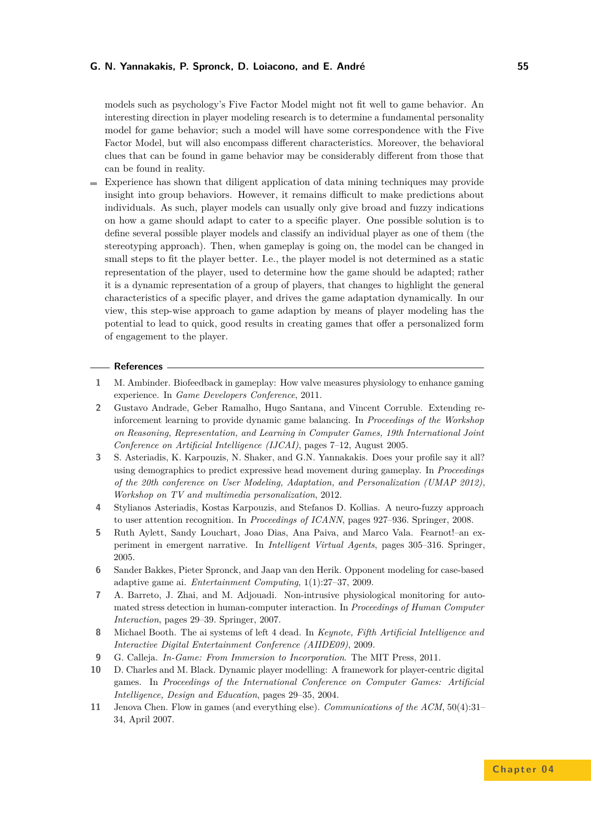models such as psychology's Five Factor Model might not fit well to game behavior. An interesting direction in player modeling research is to determine a fundamental personality model for game behavior; such a model will have some correspondence with the Five Factor Model, but will also encompass different characteristics. Moreover, the behavioral clues that can be found in game behavior may be considerably different from those that can be found in reality.

Experience has shown that diligent application of data mining techniques may provide insight into group behaviors. However, it remains difficult to make predictions about individuals. As such, player models can usually only give broad and fuzzy indications on how a game should adapt to cater to a specific player. One possible solution is to define several possible player models and classify an individual player as one of them (the stereotyping approach). Then, when gameplay is going on, the model can be changed in small steps to fit the player better. I.e., the player model is not determined as a static representation of the player, used to determine how the game should be adapted; rather it is a dynamic representation of a group of players, that changes to highlight the general characteristics of a specific player, and drives the game adaptation dynamically. In our view, this step-wise approach to game adaption by means of player modeling has the potential to lead to quick, good results in creating games that offer a personalized form of engagement to the player.

#### **References**

- <span id="page-10-9"></span>**1** M. Ambinder. Biofeedback in gameplay: How valve measures physiology to enhance gaming experience. In *Game Developers Conference*, 2011.
- <span id="page-10-3"></span>**2** Gustavo Andrade, Geber Ramalho, Hugo Santana, and Vincent Corruble. Extending reinforcement learning to provide dynamic game balancing. In *Proceedings of the Workshop on Reasoning, Representation, and Learning in Computer Games, 19th International Joint Conference on Artificial Intelligence (IJCAI)*, pages 7–12, August 2005.
- <span id="page-10-6"></span>**3** S. Asteriadis, K. Karpouzis, N. Shaker, and G.N. Yannakakis. Does your profile say it all? using demographics to predict expressive head movement during gameplay. In *Proceedings of the 20th conference on User Modeling, Adaptation, and Personalization (UMAP 2012), Workshop on TV and multimedia personalization*, 2012.
- <span id="page-10-5"></span>**4** Stylianos Asteriadis, Kostas Karpouzis, and Stefanos D. Kollias. A neuro-fuzzy approach to user attention recognition. In *Proceedings of ICANN*, pages 927–936. Springer, 2008.
- <span id="page-10-10"></span>**5** Ruth Aylett, Sandy Louchart, Joao Dias, Ana Paiva, and Marco Vala. Fearnot!–an experiment in emergent narrative. In *Intelligent Virtual Agents*, pages 305–316. Springer, 2005.
- <span id="page-10-2"></span>**6** Sander Bakkes, Pieter Spronck, and Jaap van den Herik. Opponent modeling for case-based adaptive game ai. *Entertainment Computing*, 1(1):27–37, 2009.
- <span id="page-10-4"></span>**7** A. Barreto, J. Zhai, and M. Adjouadi. Non-intrusive physiological monitoring for automated stress detection in human-computer interaction. In *Proceedings of Human Computer Interaction*, pages 29–39. Springer, 2007.
- <span id="page-10-8"></span>**8** Michael Booth. The ai systems of left 4 dead. In *Keynote, Fifth Artificial Intelligence and Interactive Digital Entertainment Conference (AIIDE09)*, 2009.
- <span id="page-10-0"></span>**9** G. Calleja. *In-Game: From Immersion to Incorporation*. The MIT Press, 2011.
- <span id="page-10-1"></span>**10** D. Charles and M. Black. Dynamic player modelling: A framework for player-centric digital games. In *Proceedings of the International Conference on Computer Games: Artificial Intelligence, Design and Education*, pages 29–35, 2004.
- <span id="page-10-7"></span>**11** Jenova Chen. Flow in games (and everything else). *Communications of the ACM*, 50(4):31– 34, April 2007.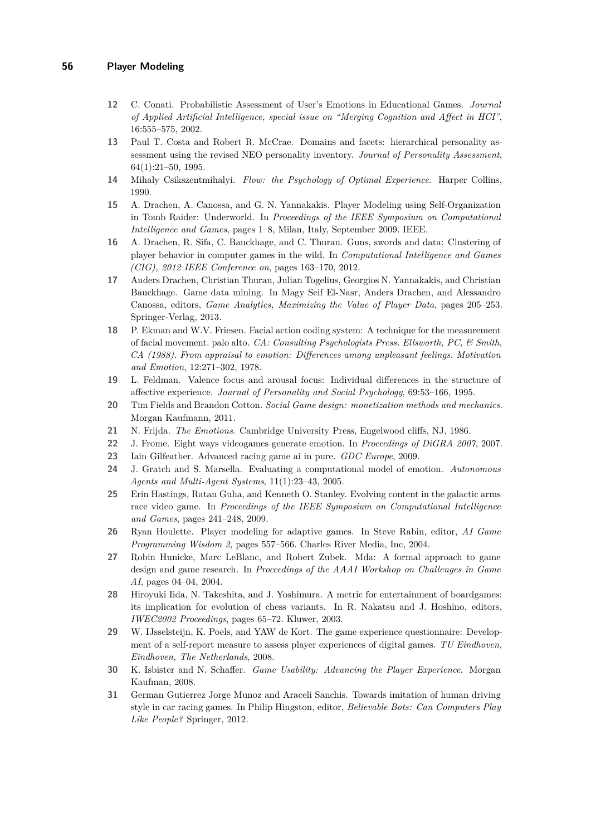- <span id="page-11-8"></span>**12** C. Conati. Probabilistic Assessment of User's Emotions in Educational Games. *Journal of Applied Artificial Intelligence, special issue on "Merging Cognition and Affect in HCI"*, 16:555–575, 2002.
- <span id="page-11-12"></span>**13** Paul T. Costa and Robert R. McCrae. Domains and facets: hierarchical personality assessment using the revised NEO personality inventory. *Journal of Personality Assessment*, 64(1):21–50, 1995.
- <span id="page-11-5"></span>**14** Mihaly Csikszentmihalyi. *Flow: the Psychology of Optimal Experience*. Harper Collins, 1990.
- <span id="page-11-7"></span>**15** A. Drachen, A. Canossa, and G. N. Yannakakis. Player Modeling using Self-Organization in Tomb Raider: Underworld. In *Proceedings of the IEEE Symposium on Computational Intelligence and Games*, pages 1–8, Milan, Italy, September 2009. IEEE.
- <span id="page-11-19"></span>**16** A. Drachen, R. Sifa, C. Bauckhage, and C. Thurau. Guns, swords and data: Clustering of player behavior in computer games in the wild. In *Computational Intelligence and Games (CIG), 2012 IEEE Conference on*, pages 163–170, 2012.
- <span id="page-11-10"></span>**17** Anders Drachen, Christian Thurau, Julian Togelius, Georgios N. Yannakakis, and Christian Bauckhage. Game data mining. In Magy Seif El-Nasr, Anders Drachen, and Alessandro Canossa, editors, *Game Analytics, Maximizing the Value of Player Data*, pages 205–253. Springer-Verlag, 2013.
- <span id="page-11-14"></span>**18** P. Ekman and W.V. Friesen. Facial action coding system: A technique for the measurement of facial movement. palo alto. *CA: Consulting Psychologists Press. Ellsworth, PC, & Smith, CA (1988). From appraisal to emotion: Differences among unpleasant feelings. Motivation and Emotion*, 12:271–302, 1978.
- <span id="page-11-2"></span>**19** L. Feldman. Valence focus and arousal focus: Individual differences in the structure of affective experience. *Journal of Personality and Social Psychology*, 69:53–166, 1995.
- <span id="page-11-18"></span>**20** Tim Fields and Brandon Cotton. *Social Game design: monetization methods and mechanics*. Morgan Kaufmann, 2011.
- <span id="page-11-1"></span>**21** N. Frijda. *The Emotions*. Cambridge University Press, Engelwood cliffs, NJ, 1986.
- <span id="page-11-3"></span>**22** J. Frome. Eight ways videogames generate emotion. In *Proceedings of DiGRA 2007*, 2007.
- <span id="page-11-15"></span>**23** Iain Gilfeather. Advanced racing game ai in pure. *GDC Europe*, 2009.
- <span id="page-11-9"></span>**24** J. Gratch and S. Marsella. Evaluating a computational model of emotion. *Autonomous Agents and Multi-Agent Systems*, 11(1):23–43, 2005.
- <span id="page-11-11"></span>**25** Erin Hastings, Ratan Guha, and Kenneth O. Stanley. Evolving content in the galactic arms race video game. In *Proceedings of the IEEE Symposium on Computational Intelligence and Games*, pages 241–248, 2009.
- <span id="page-11-0"></span>**26** Ryan Houlette. Player modeling for adaptive games. In Steve Rabin, editor, *AI Game Programming Wisdom 2*, pages 557–566. Charles River Media, Inc, 2004.
- <span id="page-11-17"></span>**27** Robin Hunicke, Marc LeBlanc, and Robert Zubek. Mda: A formal approach to game design and game research. In *Proceedings of the AAAI Workshop on Challenges in Game AI*, pages 04–04, 2004.
- <span id="page-11-6"></span>**28** Hiroyuki Iida, N. Takeshita, and J. Yoshimura. A metric for entertainment of boardgames: its implication for evolution of chess variants. In R. Nakatsu and J. Hoshino, editors, *IWEC2002 Proceedings*, pages 65–72. Kluwer, 2003.
- <span id="page-11-13"></span>**29** W. IJsselsteijn, K. Poels, and YAW de Kort. The game experience questionnaire: Development of a self-report measure to assess player experiences of digital games. *TU Eindhoven, Eindhoven, The Netherlands*, 2008.
- <span id="page-11-4"></span>**30** K. Isbister and N. Schaffer. *Game Usability: Advancing the Player Experience*. Morgan Kaufman, 2008.
- <span id="page-11-16"></span>**31** German Gutierrez Jorge Munoz and Araceli Sanchis. Towards imitation of human driving style in car racing games. In Philip Hingston, editor, *Believable Bots: Can Computers Play Like People?* Springer, 2012.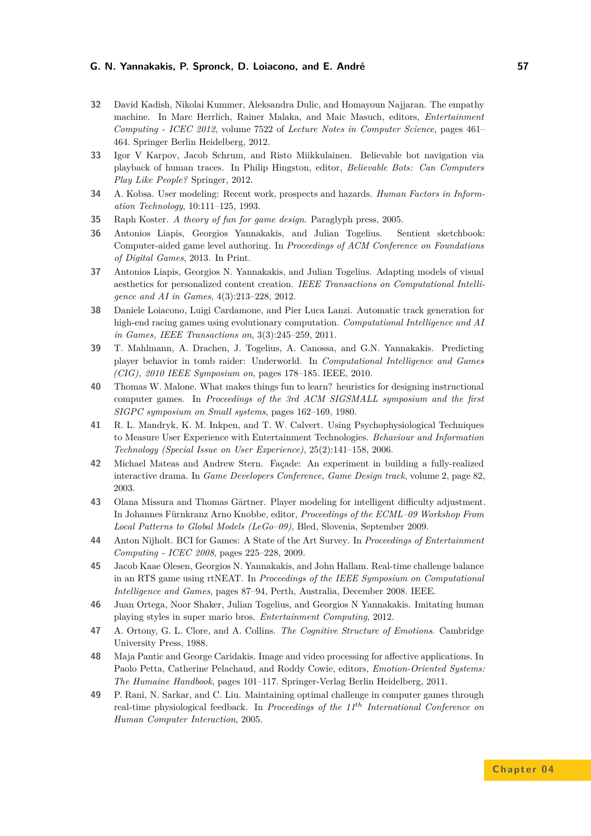- <span id="page-12-17"></span>**32** David Kadish, Nikolai Kummer, Aleksandra Dulic, and Homayoun Najjaran. The empathy machine. In Marc Herrlich, Rainer Malaka, and Maic Masuch, editors, *Entertainment Computing - ICEC 2012*, volume 7522 of *Lecture Notes in Computer Science*, pages 461– 464. Springer Berlin Heidelberg, 2012.
- <span id="page-12-14"></span>**33** Igor V Karpov, Jacob Schrum, and Risto Miikkulainen. Believable bot navigation via playback of human traces. In Philip Hingston, editor, *Believable Bots: Can Computers Play Like People?* Springer, 2012.
- <span id="page-12-9"></span>**34** A. Kobsa. User modeling: Recent work, prospects and hazards. *Human Factors in Information Technology*, 10:111–125, 1993.
- <span id="page-12-2"></span>**35** Raph Koster. *A theory of fun for game design*. Paraglyph press, 2005.
- <span id="page-12-16"></span>**36** Antonios Liapis, Georgios Yannakakis, and Julian Togelius. Sentient sketchbook: Computer-aided game level authoring. In *Proceedings of ACM Conference on Foundations of Digital Games*, 2013. In Print.
- <span id="page-12-15"></span>**37** Antonios Liapis, Georgios N. Yannakakis, and Julian Togelius. Adapting models of visual aesthetics for personalized content creation. *IEEE Transactions on Computational Intelligence and AI in Games*, 4(3):213–228, 2012.
- <span id="page-12-11"></span>**38** Daniele Loiacono, Luigi Cardamone, and Pier Luca Lanzi. Automatic track generation for high-end racing games using evolutionary computation. *Computational Intelligence and AI in Games, IEEE Transactions on*, 3(3):245–259, 2011.
- <span id="page-12-10"></span>**39** T. Mahlmann, A. Drachen, J. Togelius, A. Canossa, and G.N. Yannakakis. Predicting player behavior in tomb raider: Underworld. In *Computational Intelligence and Games (CIG), 2010 IEEE Symposium on*, pages 178–185. IEEE, 2010.
- <span id="page-12-1"></span>**40** Thomas W. Malone. What makes things fun to learn? heuristics for designing instructional computer games. In *Proceedings of the 3rd ACM SIGSMALL symposium and the first SIGPC symposium on Small systems*, pages 162–169, 1980.
- <span id="page-12-5"></span>**41** R. L. Mandryk, K. M. Inkpen, and T. W. Calvert. Using Psychophysiological Techniques to Measure User Experience with Entertainment Technologies. *Behaviour and Information Technology (Special Issue on User Experience)*, 25(2):141–158, 2006.
- <span id="page-12-12"></span>**42** Michael Mateas and Andrew Stern. Façade: An experiment in building a fully-realized interactive drama. In *Game Developers Conference, Game Design track*, volume 2, page 82, 2003.
- <span id="page-12-4"></span>**43** Olana Missura and Thomas Gärtner. Player modeling for intelligent difficulty adjustment. In Johannes Fürnkranz Arno Knobbe, editor, *Proceedings of the ECML–09 Workshop From Local Patterns to Global Models (LeGo–09)*, Bled, Slovenia, September 2009.
- <span id="page-12-7"></span>**44** Anton Nijholt. BCI for Games: A State of the Art Survey. In *Proceedings of Entertainment Computing - ICEC 2008*, pages 225–228, 2009.
- <span id="page-12-3"></span>**45** Jacob Kaae Olesen, Georgios N. Yannakakis, and John Hallam. Real-time challenge balance in an RTS game using rtNEAT. In *Proceedings of the IEEE Symposium on Computational Intelligence and Games*, pages 87–94, Perth, Australia, December 2008. IEEE.
- <span id="page-12-13"></span>**46** Juan Ortega, Noor Shaker, Julian Togelius, and Georgios N Yannakakis. Imitating human playing styles in super mario bros. *Entertainment Computing*, 2012.
- <span id="page-12-0"></span>**47** A. Ortony, G. L. Clore, and A. Collins. *The Cognitive Structure of Emotions*. Cambridge University Press, 1988.
- <span id="page-12-8"></span>**48** Maja Pantic and George Caridakis. Image and video processing for affective applications. In Paolo Petta, Catherine Pelachaud, and Roddy Cowie, editors, *Emotion-Oriented Systems: The Humaine Handbook*, pages 101–117. Springer-Verlag Berlin Heidelberg, 2011.
- <span id="page-12-6"></span>**49** P. Rani, N. Sarkar, and C. Liu. Maintaining optimal challenge in computer games through real-time physiological feedback. In *Proceedings of the 11th International Conference on Human Computer Interaction*, 2005.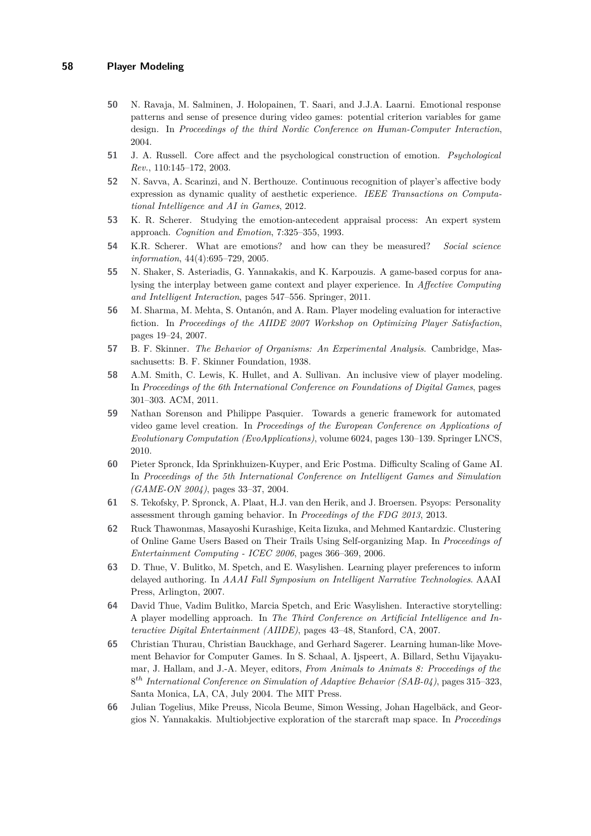- <span id="page-13-0"></span>**50** N. Ravaja, M. Salminen, J. Holopainen, T. Saari, and J.J.A. Laarni. Emotional response patterns and sense of presence during video games: potential criterion variables for game design. In *Proceedings of the third Nordic Conference on Human-Computer Interaction*, 2004.
- <span id="page-13-3"></span>**51** J. A. Russell. Core affect and the psychological construction of emotion. *Psychological Rev.*, 110:145–172, 2003.
- <span id="page-13-13"></span>**52** N. Savva, A. Scarinzi, and N. Berthouze. Continuous recognition of player's affective body expression as dynamic quality of aesthetic experience. *IEEE Transactions on Computational Intelligence and AI in Games*, 2012.
- <span id="page-13-5"></span>**53** K. R. Scherer. Studying the emotion-antecedent appraisal process: An expert system approach. *Cognition and Emotion*, 7:325–355, 1993.
- <span id="page-13-15"></span>**54** K.R. Scherer. What are emotions? and how can they be measured? *Social science information*, 44(4):695–729, 2005.
- <span id="page-13-12"></span>**55** N. Shaker, S. Asteriadis, G. Yannakakis, and K. Karpouzis. A game-based corpus for analysing the interplay between game context and player experience. In *Affective Computing and Intelligent Interaction*, pages 547–556. Springer, 2011.
- <span id="page-13-2"></span>**56** M. Sharma, M. Mehta, S. Ontanón, and A. Ram. Player modeling evaluation for interactive fiction. In *Proceedings of the AIIDE 2007 Workshop on Optimizing Player Satisfaction*, pages 19–24, 2007.
- <span id="page-13-4"></span>**57** B. F. Skinner. *The Behavior of Organisms: An Experimental Analysis*. Cambridge, Massachusetts: B. F. Skinner Foundation, 1938.
- <span id="page-13-1"></span>**58** A.M. Smith, C. Lewis, K. Hullet, and A. Sullivan. An inclusive view of player modeling. In *Proceedings of the 6th International Conference on Foundations of Digital Games*, pages 301–303. ACM, 2011.
- <span id="page-13-6"></span>**59** Nathan Sorenson and Philippe Pasquier. Towards a generic framework for automated video game level creation. In *Proceedings of the European Conference on Applications of Evolutionary Computation (EvoApplications)*, volume 6024, pages 130–139. Springer LNCS, 2010.
- <span id="page-13-7"></span>**60** Pieter Spronck, Ida Sprinkhuizen-Kuyper, and Eric Postma. Difficulty Scaling of Game AI. In *Proceedings of the 5th International Conference on Intelligent Games and Simulation (GAME-ON 2004)*, pages 33–37, 2004.
- <span id="page-13-10"></span>**61** S. Tekofsky, P. Spronck, A. Plaat, H.J. van den Herik, and J. Broersen. Psyops: Personality assessment through gaming behavior. In *Proceedings of the FDG 2013*, 2013.
- <span id="page-13-11"></span>**62** Ruck Thawonmas, Masayoshi Kurashige, Keita Iizuka, and Mehmed Kantardzic. Clustering of Online Game Users Based on Their Trails Using Self-organizing Map. In *Proceedings of Entertainment Computing - ICEC 2006*, pages 366–369, 2006.
- <span id="page-13-14"></span>**63** D. Thue, V. Bulitko, M. Spetch, and E. Wasylishen. Learning player preferences to inform delayed authoring. In *AAAI Fall Symposium on Intelligent Narrative Technologies*. AAAI Press, Arlington, 2007.
- <span id="page-13-8"></span>**64** David Thue, Vadim Bulitko, Marcia Spetch, and Eric Wasylishen. Interactive storytelling: A player modelling approach. In *The Third Conference on Artificial Intelligence and Interactive Digital Entertainment (AIIDE)*, pages 43–48, Stanford, CA, 2007.
- <span id="page-13-9"></span>**65** Christian Thurau, Christian Bauckhage, and Gerhard Sagerer. Learning human-like Movement Behavior for Computer Games. In S. Schaal, A. Ijspeert, A. Billard, Sethu Vijayakumar, J. Hallam, and J.-A. Meyer, editors, *From Animals to Animats 8: Proceedings of the* 8 *th International Conference on Simulation of Adaptive Behavior (SAB-04)*, pages 315–323, Santa Monica, LA, CA, July 2004. The MIT Press.
- <span id="page-13-16"></span>**66** Julian Togelius, Mike Preuss, Nicola Beume, Simon Wessing, Johan Hagelbäck, and Georgios N. Yannakakis. Multiobjective exploration of the starcraft map space. In *Proceedings*